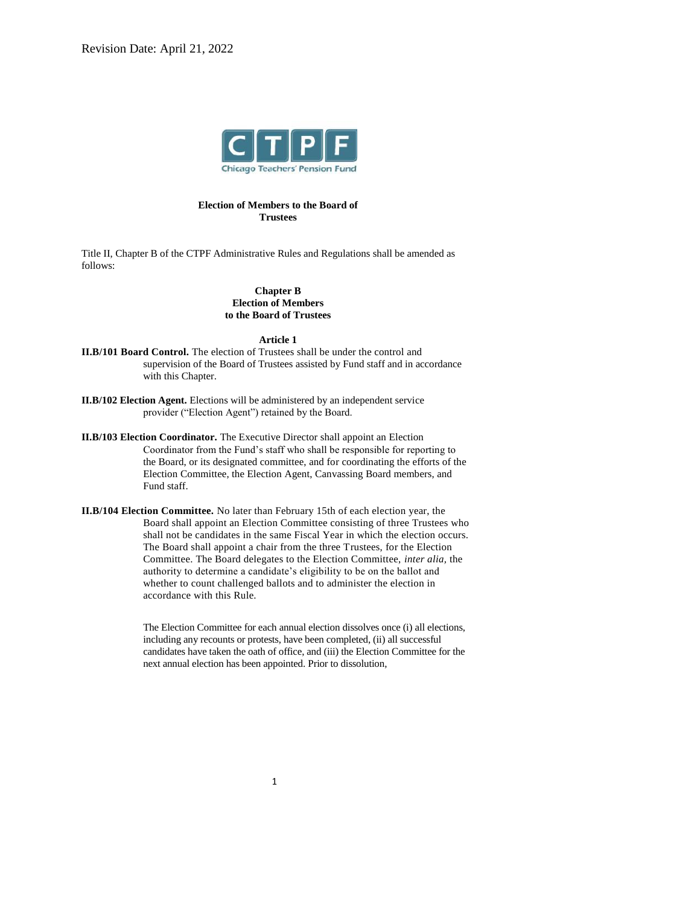

# **Election of Members to the Board of Trustees**

Title II, Chapter B of the CTPF Administrative Rules and Regulations shall be amended as follows:

## **Chapter B Election of Members to the Board of Trustees**

#### **Article 1**

- **II.B/101 Board Control.** The election of Trustees shall be under the control and supervision of the Board of Trustees assisted by Fund staff and in accordance with this Chapter.
- **II.B/102 Election Agent.** Elections will be administered by an independent service provider ("Election Agent") retained by the Board.
- **II.B/103 Election Coordinator.** The Executive Director shall appoint an Election Coordinator from the Fund's staff who shall be responsible for reporting to the Board, or its designated committee, and for coordinating the efforts of the Election Committee, the Election Agent, Canvassing Board members, and Fund staff.
- **II.B/104 Election Committee.** No later than February 15th of each election year, the Board shall appoint an Election Committee consisting of three Trustees who shall not be candidates in the same Fiscal Year in which the election occurs. The Board shall appoint a chair from the three Trustees, for the Election Committee. The Board delegates to the Election Committee, *inter alia,* the authority to determine a candidate's eligibility to be on the ballot and whether to count challenged ballots and to administer the election in accordance with this Rule.

The Election Committee for each annual election dissolves once (i) all elections, including any recounts or protests, have been completed, (ii) all successful candidates have taken the oath of office, and (iii) the Election Committee for the next annual election has been appointed. Prior to dissolution,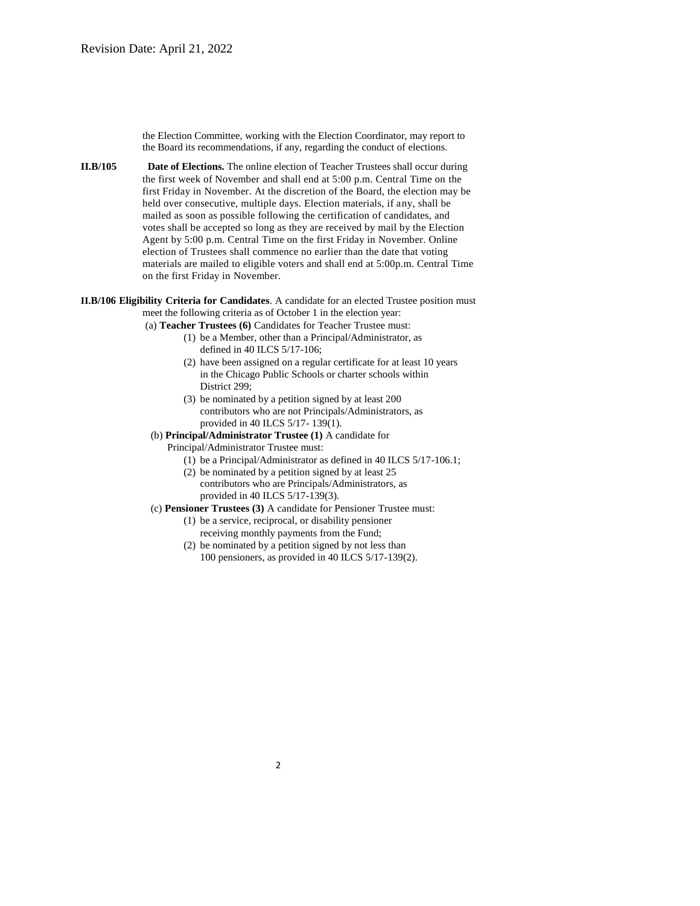the Election Committee, working with the Election Coordinator, may report to the Board its recommendations, if any, regarding the conduct of elections.

- **II.B/105 Date of Elections.** The online election of Teacher Trustees shall occur during the first week of November and shall end at 5:00 p.m. Central Time on the first Friday in November. At the discretion of the Board, the election may be held over consecutive, multiple days. Election materials, if any, shall be mailed as soon as possible following the certification of candidates, and votes shall be accepted so long as they are received by mail by the Election Agent by 5:00 p.m. Central Time on the first Friday in November. Online election of Trustees shall commence no earlier than the date that voting materials are mailed to eligible voters and shall end at 5:00p.m. Central Time on the first Friday in November.
- **II.B/106 Eligibility Criteria for Candidates**. A candidate for an elected Trustee position must meet the following criteria as of October 1 in the election year:
	- (a) **Teacher Trustees (6)** Candidates for Teacher Trustee must:
		- (1) be a Member, other than a Principal/Administrator, as defined in 40 ILCS 5/17-106;
		- (2) have been assigned on a regular certificate for at least 10 years in the Chicago Public Schools or charter schools within District 299;
		- (3) be nominated by a petition signed by at least 200 contributors who are not Principals/Administrators, as provided in 40 ILCS 5/17- 139(1).
	- (b) **Principal/Administrator Trustee (1)** A candidate for
		- Principal/Administrator Trustee must:
			- (1) be a Principal/Administrator as defined in 40 ILCS 5/17-106.1;
			- (2) be nominated by a petition signed by at least 25 contributors who are Principals/Administrators, as provided in 40 ILCS 5/17-139(3).
	- (c) **Pensioner Trustees (3)** A candidate for Pensioner Trustee must:
		- (1) be a service, reciprocal, or disability pensioner receiving monthly payments from the Fund;
		- (2) be nominated by a petition signed by not less than 100 pensioners, as provided in 40 ILCS 5/17-139(2).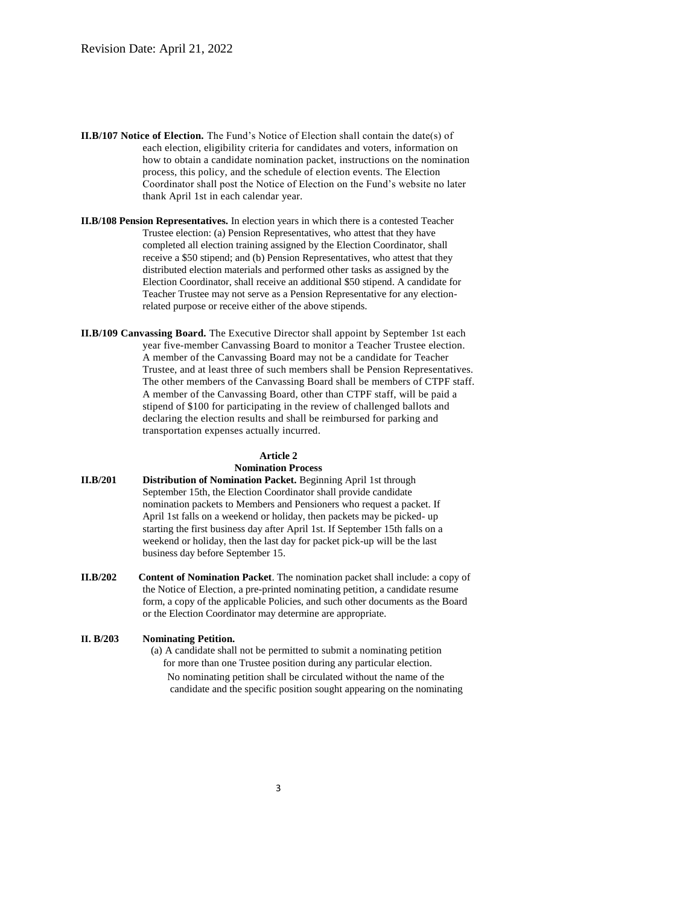- **II.B/107 Notice of Election.** The Fund's Notice of Election shall contain the date(s) of each election, eligibility criteria for candidates and voters, information on how to obtain a candidate nomination packet, instructions on the nomination process, this policy, and the schedule of election events. The Election Coordinator shall post the Notice of Election on the Fund's website no later thank April 1st in each calendar year.
- **II.B/108 Pension Representatives.** In election years in which there is a contested Teacher Trustee election: (a) Pension Representatives, who attest that they have completed all election training assigned by the Election Coordinator, shall receive a \$50 stipend; and (b) Pension Representatives, who attest that they distributed election materials and performed other tasks as assigned by the Election Coordinator, shall receive an additional \$50 stipend. A candidate for Teacher Trustee may not serve as a Pension Representative for any electionrelated purpose or receive either of the above stipends.
- **II.B/109 Canvassing Board.** The Executive Director shall appoint by September 1st each year five-member Canvassing Board to monitor a Teacher Trustee election. A member of the Canvassing Board may not be a candidate for Teacher Trustee, and at least three of such members shall be Pension Representatives. The other members of the Canvassing Board shall be members of CTPF staff. A member of the Canvassing Board, other than CTPF staff, will be paid a stipend of \$100 for participating in the review of challenged ballots and declaring the election results and shall be reimbursed for parking and transportation expenses actually incurred.

#### **Article 2 Nomination Process**

- **II.B/201 Distribution of Nomination Packet.** Beginning April 1st through September 15th, the Election Coordinator shall provide candidate nomination packets to Members and Pensioners who request a packet. If April 1st falls on a weekend or holiday, then packets may be picked- up starting the first business day after April 1st. If September 15th falls on a weekend or holiday, then the last day for packet pick-up will be the last business day before September 15.
- **II.B/202 Content of Nomination Packet**. The nomination packet shall include: a copy of the Notice of Election, a pre-printed nominating petition, a candidate resume form, a copy of the applicable Policies, and such other documents as the Board or the Election Coordinator may determine are appropriate.

#### **II. B/203 Nominating Petition.**

(a) A candidate shall not be permitted to submit a nominating petition for more than one Trustee position during any particular election. No nominating petition shall be circulated without the name of the candidate and the specific position sought appearing on the nominating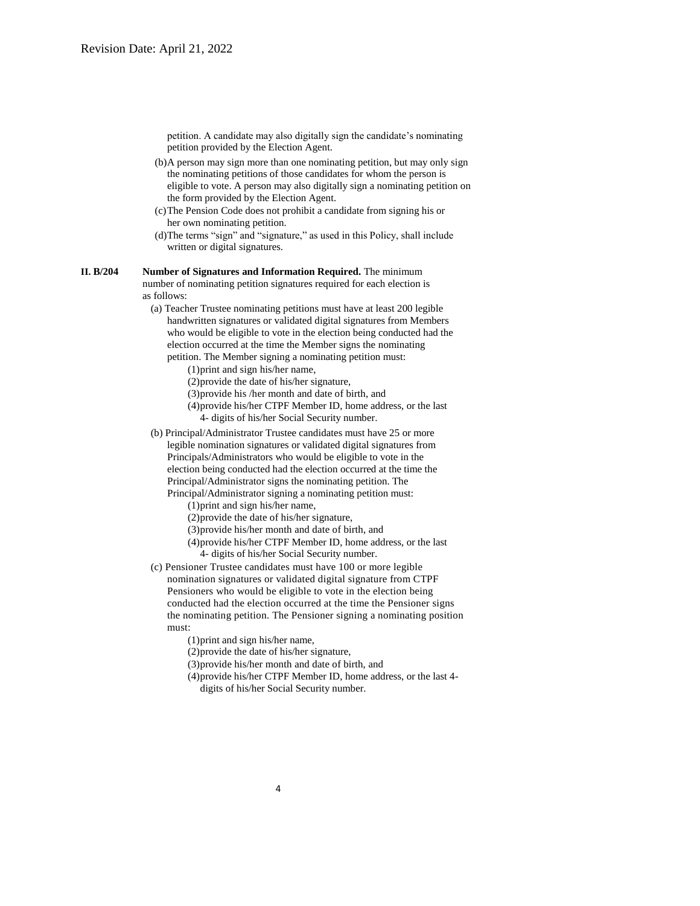petition. A candidate may also digitally sign the candidate's nominating petition provided by the Election Agent.

- (b)A person may sign more than one nominating petition, but may only sign the nominating petitions of those candidates for whom the person is eligible to vote. A person may also digitally sign a nominating petition on the form provided by the Election Agent.
- (c)The Pension Code does not prohibit a candidate from signing his or her own nominating petition.
- (d)The terms "sign" and "signature," as used in this Policy, shall include written or digital signatures.

#### **II. B/204 Number of Signatures and Information Required.** The minimum number of nominating petition signatures required for each election is as follows:

(a) Teacher Trustee nominating petitions must have at least 200 legible handwritten signatures or validated digital signatures from Members who would be eligible to vote in the election being conducted had the election occurred at the time the Member signs the nominating petition. The Member signing a nominating petition must:

(1)print and sign his/her name,

(2)provide the date of his/her signature,

(3)provide his /her month and date of birth, and

- (4)provide his/her CTPF Member ID, home address, or the last 4- digits of his/her Social Security number.
- (b) Principal/Administrator Trustee candidates must have 25 or more legible nomination signatures or validated digital signatures from Principals/Administrators who would be eligible to vote in the election being conducted had the election occurred at the time the Principal/Administrator signs the nominating petition. The Principal/Administrator signing a nominating petition must:

(1)print and sign his/her name,

(2)provide the date of his/her signature,

(3)provide his/her month and date of birth, and

- (4)provide his/her CTPF Member ID, home address, or the last 4- digits of his/her Social Security number.
- (c) Pensioner Trustee candidates must have 100 or more legible nomination signatures or validated digital signature from CTPF Pensioners who would be eligible to vote in the election being conducted had the election occurred at the time the Pensioner signs the nominating petition. The Pensioner signing a nominating position must:

(1)print and sign his/her name,

(2)provide the date of his/her signature,

(3)provide his/her month and date of birth, and

(4)provide his/her CTPF Member ID, home address, or the last 4 digits of his/her Social Security number.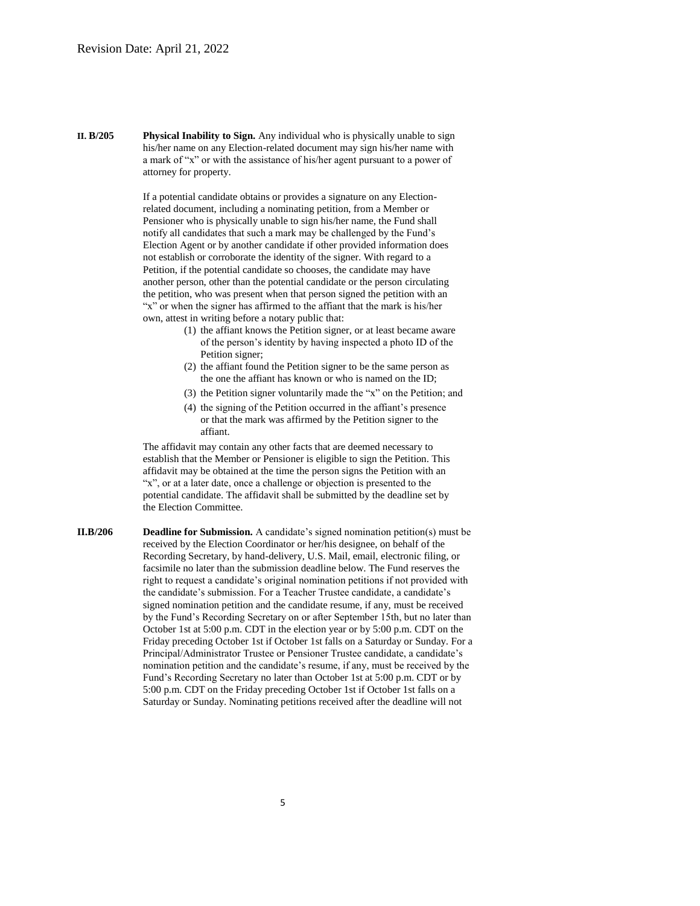**II. B/205 Physical Inability to Sign.** Any individual who is physically unable to sign his/her name on any Election-related document may sign his/her name with a mark of "x" or with the assistance of his/her agent pursuant to a power of attorney for property.

> If a potential candidate obtains or provides a signature on any Electionrelated document, including a nominating petition, from a Member or Pensioner who is physically unable to sign his/her name, the Fund shall notify all candidates that such a mark may be challenged by the Fund's Election Agent or by another candidate if other provided information does not establish or corroborate the identity of the signer. With regard to a Petition, if the potential candidate so chooses, the candidate may have another person, other than the potential candidate or the person circulating the petition, who was present when that person signed the petition with an "x" or when the signer has affirmed to the affiant that the mark is his/her own, attest in writing before a notary public that:

- (1) the affiant knows the Petition signer, or at least became aware of the person's identity by having inspected a photo ID of the Petition signer;
- (2) the affiant found the Petition signer to be the same person as the one the affiant has known or who is named on the ID;
- (3) the Petition signer voluntarily made the "x" on the Petition; and
- (4) the signing of the Petition occurred in the affiant's presence or that the mark was affirmed by the Petition signer to the affiant.

The affidavit may contain any other facts that are deemed necessary to establish that the Member or Pensioner is eligible to sign the Petition. This affidavit may be obtained at the time the person signs the Petition with an "x", or at a later date, once a challenge or objection is presented to the potential candidate. The affidavit shall be submitted by the deadline set by the Election Committee.

**II.B/206 Deadline for Submission.** A candidate's signed nomination petition(s) must be received by the Election Coordinator or her/his designee, on behalf of the Recording Secretary, by hand-delivery, U.S. Mail, email, electronic filing, or facsimile no later than the submission deadline below. The Fund reserves the right to request a candidate's original nomination petitions if not provided with the candidate's submission. For a Teacher Trustee candidate, a candidate's signed nomination petition and the candidate resume, if any, must be received by the Fund's Recording Secretary on or after September 15th, but no later than October 1st at 5:00 p.m. CDT in the election year or by 5:00 p.m. CDT on the Friday preceding October 1st if October 1st falls on a Saturday or Sunday. For a Principal/Administrator Trustee or Pensioner Trustee candidate, a candidate's nomination petition and the candidate's resume, if any, must be received by the Fund's Recording Secretary no later than October 1st at 5:00 p.m. CDT or by 5:00 p.m. CDT on the Friday preceding October 1st if October 1st falls on a Saturday or Sunday. Nominating petitions received after the deadline will not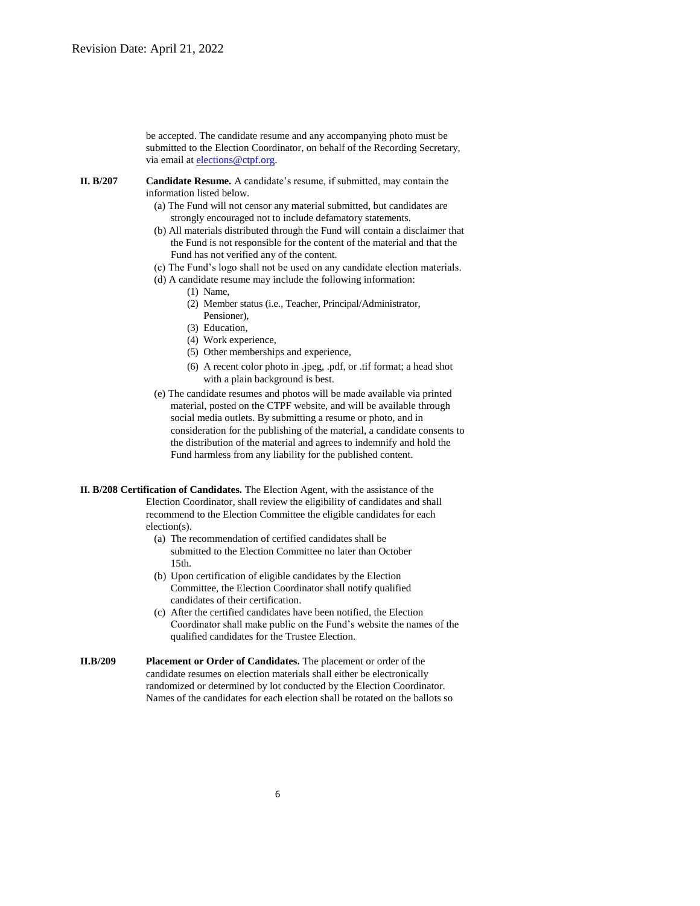be accepted. The candidate resume and any accompanying photo must be submitted to the Election Coordinator, on behalf of the Recording Secretary, via email at [elections@ctpf.org.](mailto:elections@ctpf.org)

- **II. B/207 Candidate Resume.** A candidate's resume, if submitted, may contain the information listed below.
	- (a) The Fund will not censor any material submitted, but candidates are strongly encouraged not to include defamatory statements.
	- (b) All materials distributed through the Fund will contain a disclaimer that the Fund is not responsible for the content of the material and that the Fund has not verified any of the content.
	- (c) The Fund's logo shall not be used on any candidate election materials.
	- (d) A candidate resume may include the following information:
		- (1) Name,
		- (2) Member status (i.e., Teacher, Principal/Administrator, Pensioner),
		- (3) Education,
		- (4) Work experience,
		- (5) Other memberships and experience,
		- (6) A recent color photo in .jpeg, .pdf, or .tif format; a head shot with a plain background is best.
	- (e) The candidate resumes and photos will be made available via printed material, posted on the CTPF website, and will be available through social media outlets. By submitting a resume or photo, and in consideration for the publishing of the material, a candidate consents to the distribution of the material and agrees to indemnify and hold the Fund harmless from any liability for the published content.
- **II. B/208 Certification of Candidates.** The Election Agent, with the assistance of the Election Coordinator, shall review the eligibility of candidates and shall recommend to the Election Committee the eligible candidates for each election(s).
	- (a) The recommendation of certified candidates shall be submitted to the Election Committee no later than October 15th.
	- (b) Upon certification of eligible candidates by the Election Committee, the Election Coordinator shall notify qualified candidates of their certification.
	- (c) After the certified candidates have been notified, the Election Coordinator shall make public on the Fund's website the names of the qualified candidates for the Trustee Election.
- **II.B/209 Placement or Order of Candidates.** The placement or order of the candidate resumes on election materials shall either be electronically randomized or determined by lot conducted by the Election Coordinator. Names of the candidates for each election shall be rotated on the ballots so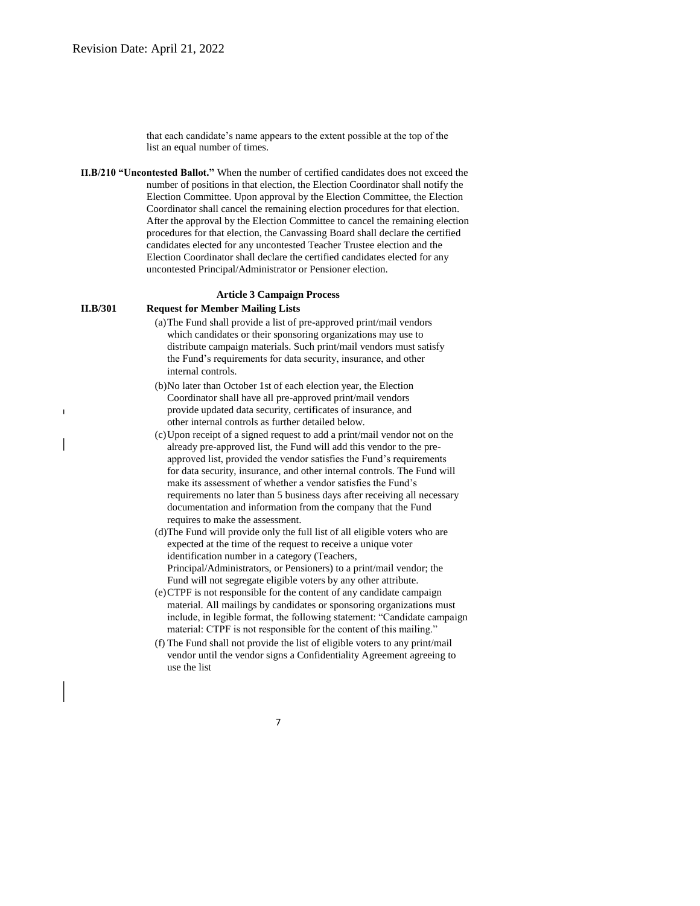that each candidate's name appears to the extent possible at the top of the list an equal number of times.

**II.B/210 "Uncontested Ballot."** When the number of certified candidates does not exceed the number of positions in that election, the Election Coordinator shall notify the Election Committee. Upon approval by the Election Committee, the Election Coordinator shall cancel the remaining election procedures for that election. After the approval by the Election Committee to cancel the remaining election procedures for that election, the Canvassing Board shall declare the certified candidates elected for any uncontested Teacher Trustee election and the Election Coordinator shall declare the certified candidates elected for any uncontested Principal/Administrator or Pensioner election.

#### **Article 3 Campaign Process**

## **II.B/301 Request for Member Mailing Lists**

 $\blacksquare$ 

- (a)The Fund shall provide a list of pre-approved print/mail vendors which candidates or their sponsoring organizations may use to distribute campaign materials. Such print/mail vendors must satisfy the Fund's requirements for data security, insurance, and other internal controls.
- (b)No later than October 1st of each election year, the Election Coordinator shall have all pre-approved print/mail vendors provide updated data security, certificates of insurance, and other internal controls as further detailed below.
- (c)Upon receipt of a signed request to add a print/mail vendor not on the already pre-approved list, the Fund will add this vendor to the preapproved list, provided the vendor satisfies the Fund's requirements for data security, insurance, and other internal controls. The Fund will make its assessment of whether a vendor satisfies the Fund's requirements no later than 5 business days after receiving all necessary documentation and information from the company that the Fund requires to make the assessment.
- (d)The Fund will provide only the full list of all eligible voters who are expected at the time of the request to receive a unique voter identification number in a category (Teachers, Principal/Administrators, or Pensioners) to a print/mail vendor; the Fund will not segregate eligible voters by any other attribute.
- (e)CTPF is not responsible for the content of any candidate campaign material. All mailings by candidates or sponsoring organizations must include, in legible format, the following statement: "Candidate campaign material: CTPF is not responsible for the content of this mailing."
- (f) The Fund shall not provide the list of eligible voters to any print/mail vendor until the vendor signs a Confidentiality Agreement agreeing to use the list

7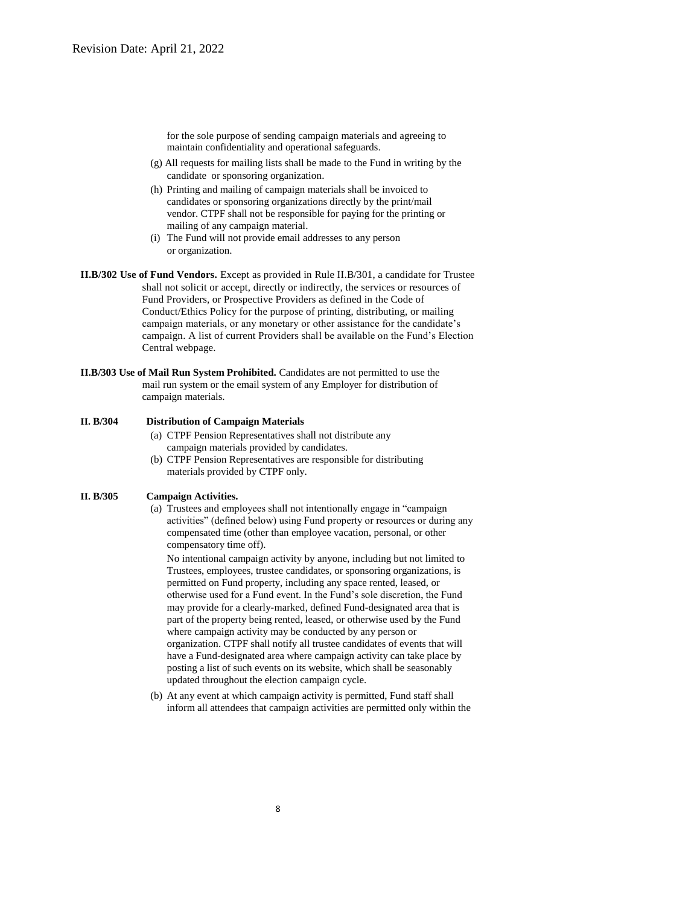for the sole purpose of sending campaign materials and agreeing to maintain confidentiality and operational safeguards.

- (g) All requests for mailing lists shall be made to the Fund in writing by the candidate or sponsoring organization.
- (h) Printing and mailing of campaign materials shall be invoiced to candidates or sponsoring organizations directly by the print/mail vendor. CTPF shall not be responsible for paying for the printing or mailing of any campaign material.
- (i) The Fund will not provide email addresses to any person or organization.
- **II.B/302 Use of Fund Vendors.** Except as provided in Rule II.B/301, a candidate for Trustee shall not solicit or accept, directly or indirectly, the services or resources of Fund Providers, or Prospective Providers as defined in the Code of Conduct/Ethics Policy for the purpose of printing, distributing, or mailing campaign materials, or any monetary or other assistance for the candidate's campaign. A list of current Providers shall be available on the Fund's Election Central webpage.
- **II.B/303 Use of Mail Run System Prohibited.** Candidates are not permitted to use the mail run system or the email system of any Employer for distribution of campaign materials.

# **II. B/304 Distribution of Campaign Materials**

- (a) CTPF Pension Representatives shall not distribute any campaign materials provided by candidates.
- (b) CTPF Pension Representatives are responsible for distributing materials provided by CTPF only.

### **II. B/305 Campaign Activities.**

(a) Trustees and employees shall not intentionally engage in "campaign activities" (defined below) using Fund property or resources or during any compensated time (other than employee vacation, personal, or other compensatory time off).

No intentional campaign activity by anyone, including but not limited to Trustees, employees, trustee candidates, or sponsoring organizations, is permitted on Fund property, including any space rented, leased, or otherwise used for a Fund event. In the Fund's sole discretion, the Fund may provide for a clearly-marked, defined Fund-designated area that is part of the property being rented, leased, or otherwise used by the Fund where campaign activity may be conducted by any person or organization. CTPF shall notify all trustee candidates of events that will have a Fund-designated area where campaign activity can take place by posting a list of such events on its website, which shall be seasonably updated throughout the election campaign cycle.

(b) At any event at which campaign activity is permitted, Fund staff shall inform all attendees that campaign activities are permitted only within the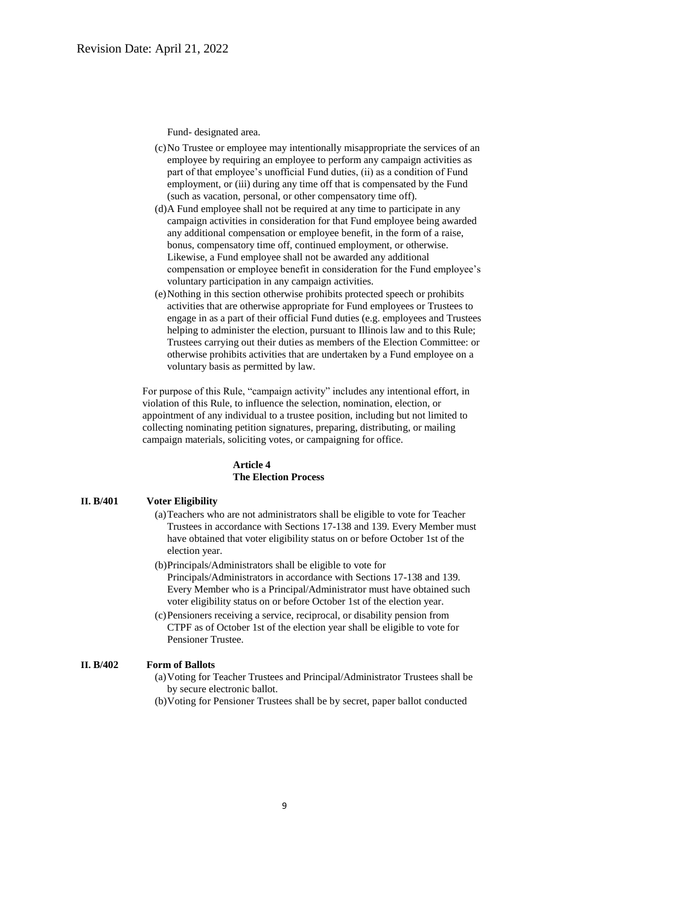Fund- designated area.

- (c)No Trustee or employee may intentionally misappropriate the services of an employee by requiring an employee to perform any campaign activities as part of that employee's unofficial Fund duties, (ii) as a condition of Fund employment, or (iii) during any time off that is compensated by the Fund (such as vacation, personal, or other compensatory time off).
- (d)A Fund employee shall not be required at any time to participate in any campaign activities in consideration for that Fund employee being awarded any additional compensation or employee benefit, in the form of a raise, bonus, compensatory time off, continued employment, or otherwise. Likewise, a Fund employee shall not be awarded any additional compensation or employee benefit in consideration for the Fund employee's voluntary participation in any campaign activities.
- (e)Nothing in this section otherwise prohibits protected speech or prohibits activities that are otherwise appropriate for Fund employees or Trustees to engage in as a part of their official Fund duties (e.g. employees and Trustees helping to administer the election, pursuant to Illinois law and to this Rule; Trustees carrying out their duties as members of the Election Committee: or otherwise prohibits activities that are undertaken by a Fund employee on a voluntary basis as permitted by law.

For purpose of this Rule, "campaign activity" includes any intentional effort, in violation of this Rule, to influence the selection, nomination, election, or appointment of any individual to a trustee position, including but not limited to collecting nominating petition signatures, preparing, distributing, or mailing campaign materials, soliciting votes, or campaigning for office.

### **Article 4 The Election Process**

#### **II. B/401 Voter Eligibility**

- (a)Teachers who are not administrators shall be eligible to vote for Teacher Trustees in accordance with Sections 17-138 and 139. Every Member must have obtained that voter eligibility status on or before October 1st of the election year.
- (b)Principals/Administrators shall be eligible to vote for Principals/Administrators in accordance with Sections 17-138 and 139. Every Member who is a Principal/Administrator must have obtained such voter eligibility status on or before October 1st of the election year.
- (c)Pensioners receiving a service, reciprocal, or disability pension from CTPF as of October 1st of the election year shall be eligible to vote for Pensioner Trustee.

# **II. B/402 Form of Ballots**

- (a)Voting for Teacher Trustees and Principal/Administrator Trustees shall be by secure electronic ballot.
- (b)Voting for Pensioner Trustees shall be by secret, paper ballot conducted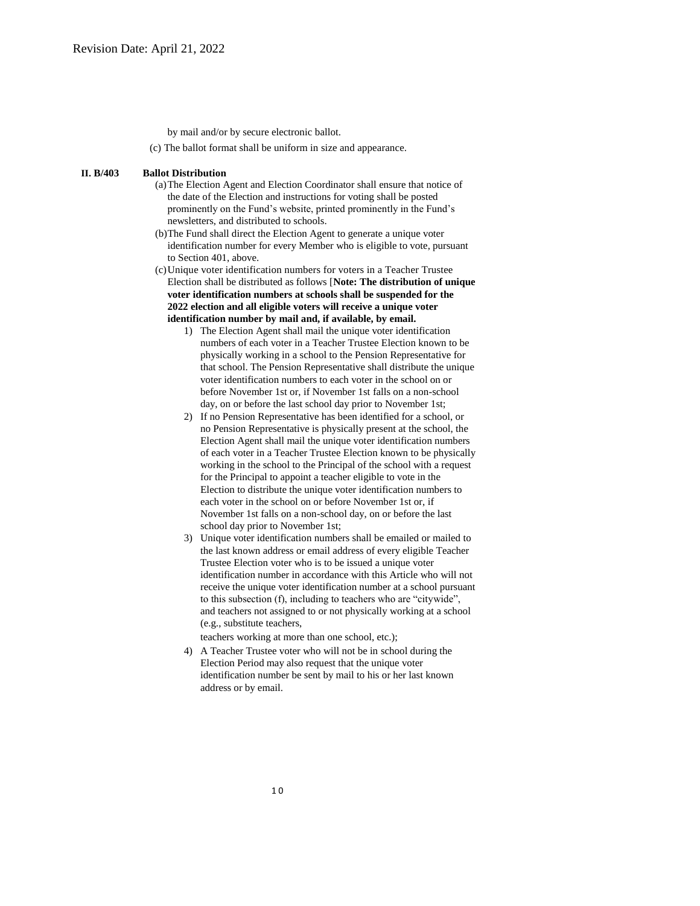by mail and/or by secure electronic ballot.

(c) The ballot format shall be uniform in size and appearance.

### **II. B/403 Ballot Distribution**

- (a)The Election Agent and Election Coordinator shall ensure that notice of the date of the Election and instructions for voting shall be posted prominently on the Fund's website, printed prominently in the Fund's newsletters, and distributed to schools.
- (b)The Fund shall direct the Election Agent to generate a unique voter identification number for every Member who is eligible to vote, pursuant to Section 401, above.
- (c)Unique voter identification numbers for voters in a Teacher Trustee Election shall be distributed as follows [**Note: The distribution of unique voter identification numbers at schools shall be suspended for the 2022 election and all eligible voters will receive a unique voter identification number by mail and, if available, by email.**
	- 1) The Election Agent shall mail the unique voter identification numbers of each voter in a Teacher Trustee Election known to be physically working in a school to the Pension Representative for that school. The Pension Representative shall distribute the unique voter identification numbers to each voter in the school on or before November 1st or, if November 1st falls on a non-school day, on or before the last school day prior to November 1st;
	- 2) If no Pension Representative has been identified for a school, or no Pension Representative is physically present at the school, the Election Agent shall mail the unique voter identification numbers of each voter in a Teacher Trustee Election known to be physically working in the school to the Principal of the school with a request for the Principal to appoint a teacher eligible to vote in the Election to distribute the unique voter identification numbers to each voter in the school on or before November 1st or, if November 1st falls on a non-school day, on or before the last school day prior to November 1st;
	- 3) Unique voter identification numbers shall be emailed or mailed to the last known address or email address of every eligible Teacher Trustee Election voter who is to be issued a unique voter identification number in accordance with this Article who will not receive the unique voter identification number at a school pursuant to this subsection (f), including to teachers who are "citywide", and teachers not assigned to or not physically working at a school (e.g., substitute teachers,

teachers working at more than one school, etc.);

4) A Teacher Trustee voter who will not be in school during the Election Period may also request that the unique voter identification number be sent by mail to his or her last known address or by email.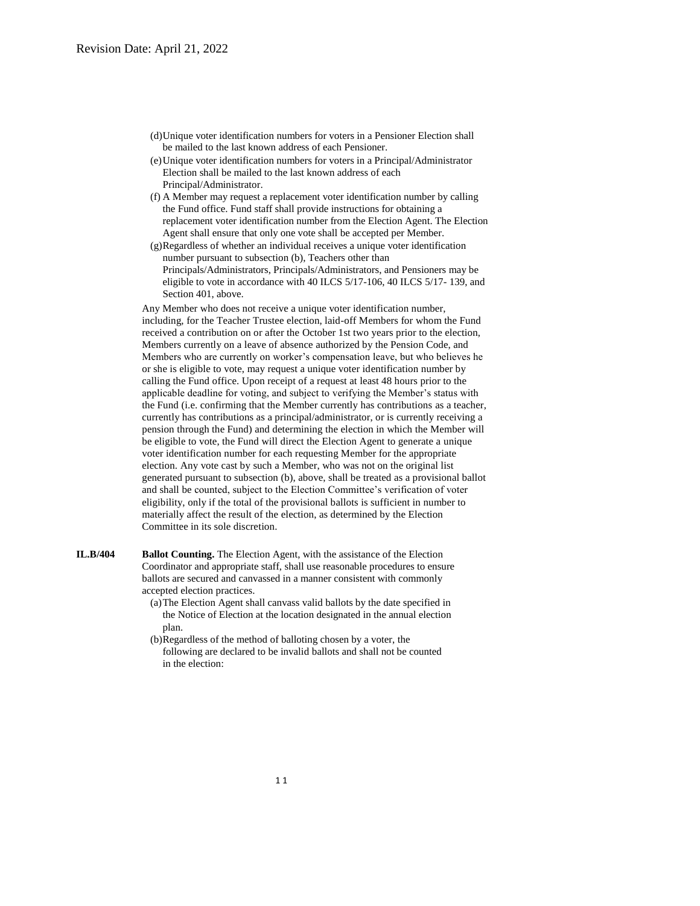- (d)Unique voter identification numbers for voters in a Pensioner Election shall be mailed to the last known address of each Pensioner.
- (e)Unique voter identification numbers for voters in a Principal/Administrator Election shall be mailed to the last known address of each Principal/Administrator.
- (f) A Member may request a replacement voter identification number by calling the Fund office. Fund staff shall provide instructions for obtaining a replacement voter identification number from the Election Agent. The Election Agent shall ensure that only one vote shall be accepted per Member.
- (g)Regardless of whether an individual receives a unique voter identification number pursuant to subsection (b), Teachers other than Principals/Administrators, Principals/Administrators, and Pensioners may be eligible to vote in accordance with 40 ILCS 5/17-106, 40 ILCS 5/17- 139, and Section 401, above.

Any Member who does not receive a unique voter identification number, including, for the Teacher Trustee election, laid-off Members for whom the Fund received a contribution on or after the October 1st two years prior to the election, Members currently on a leave of absence authorized by the Pension Code, and Members who are currently on worker's compensation leave, but who believes he or she is eligible to vote, may request a unique voter identification number by calling the Fund office. Upon receipt of a request at least 48 hours prior to the applicable deadline for voting, and subject to verifying the Member's status with the Fund (i.e. confirming that the Member currently has contributions as a teacher, currently has contributions as a principal/administrator, or is currently receiving a pension through the Fund) and determining the election in which the Member will be eligible to vote, the Fund will direct the Election Agent to generate a unique voter identification number for each requesting Member for the appropriate election. Any vote cast by such a Member, who was not on the original list generated pursuant to subsection (b), above, shall be treated as a provisional ballot and shall be counted, subject to the Election Committee's verification of voter eligibility, only if the total of the provisional ballots is sufficient in number to materially affect the result of the election, as determined by the Election Committee in its sole discretion.

- **IL.B/404 Ballot Counting.** The Election Agent, with the assistance of the Election Coordinator and appropriate staff, shall use reasonable procedures to ensure ballots are secured and canvassed in a manner consistent with commonly accepted election practices.
	- (a)The Election Agent shall canvass valid ballots by the date specified in the Notice of Election at the location designated in the annual election plan.
	- (b)Regardless of the method of balloting chosen by a voter, the following are declared to be invalid ballots and shall not be counted in the election: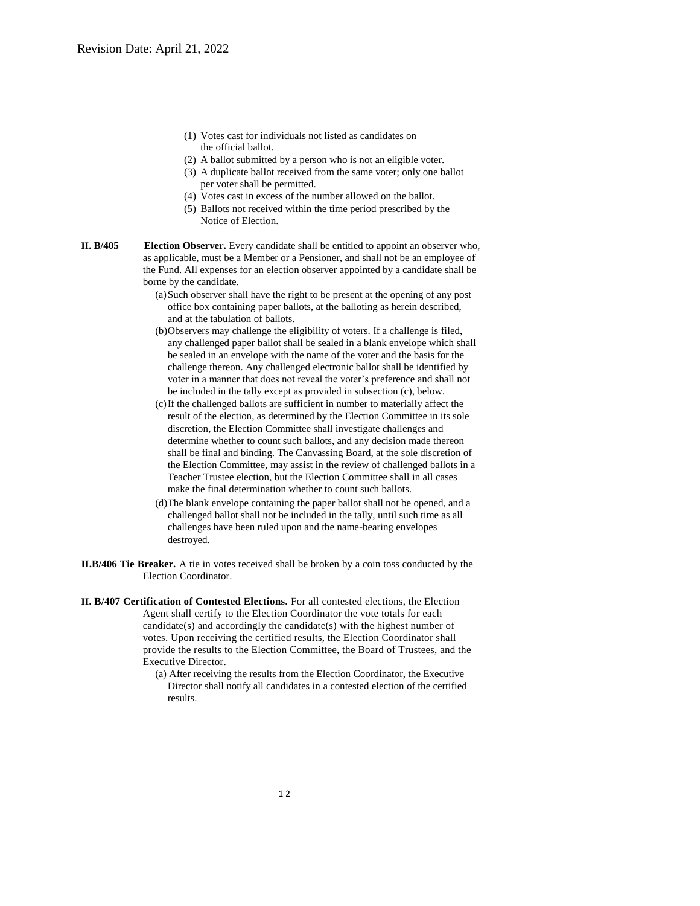- (1) Votes cast for individuals not listed as candidates on the official ballot.
- (2) A ballot submitted by a person who is not an eligible voter.
- (3) A duplicate ballot received from the same voter; only one ballot per voter shall be permitted.
- (4) Votes cast in excess of the number allowed on the ballot.
- (5) Ballots not received within the time period prescribed by the Notice of Election.
- **II. B/405 Election Observer.** Every candidate shall be entitled to appoint an observer who, as applicable, must be a Member or a Pensioner, and shall not be an employee of the Fund. All expenses for an election observer appointed by a candidate shall be borne by the candidate.
	- (a)Such observer shall have the right to be present at the opening of any post office box containing paper ballots, at the balloting as herein described, and at the tabulation of ballots.
	- (b)Observers may challenge the eligibility of voters. If a challenge is filed, any challenged paper ballot shall be sealed in a blank envelope which shall be sealed in an envelope with the name of the voter and the basis for the challenge thereon. Any challenged electronic ballot shall be identified by voter in a manner that does not reveal the voter's preference and shall not be included in the tally except as provided in subsection (c), below.
	- (c)If the challenged ballots are sufficient in number to materially affect the result of the election, as determined by the Election Committee in its sole discretion, the Election Committee shall investigate challenges and determine whether to count such ballots, and any decision made thereon shall be final and binding. The Canvassing Board, at the sole discretion of the Election Committee, may assist in the review of challenged ballots in a Teacher Trustee election, but the Election Committee shall in all cases make the final determination whether to count such ballots.
	- (d)The blank envelope containing the paper ballot shall not be opened, and a challenged ballot shall not be included in the tally, until such time as all challenges have been ruled upon and the name-bearing envelopes destroyed.
- **II.B/406 Tie Breaker.** A tie in votes received shall be broken by a coin toss conducted by the Election Coordinator.
- **II. B/407 Certification of Contested Elections.** For all contested elections, the Election Agent shall certify to the Election Coordinator the vote totals for each candidate(s) and accordingly the candidate(s) with the highest number of votes. Upon receiving the certified results, the Election Coordinator shall provide the results to the Election Committee, the Board of Trustees, and the Executive Director.
	- (a) After receiving the results from the Election Coordinator, the Executive Director shall notify all candidates in a contested election of the certified results.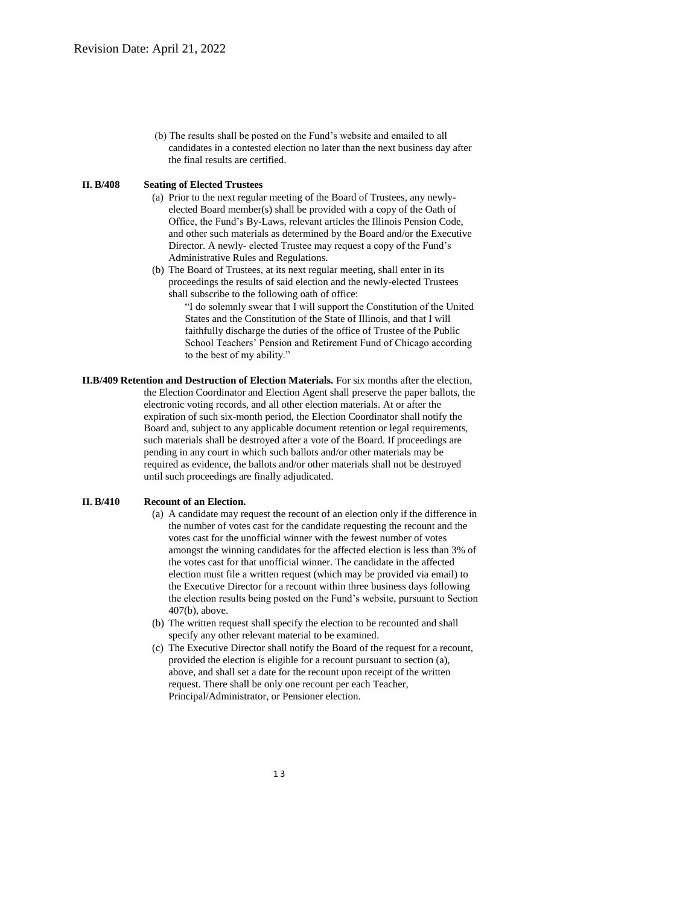(b) The results shall be posted on the Fund's website and emailed to all candidates in a contested election no later than the next business day after the final results are certified.

#### **II. B/408 Seating of Elected Trustees**

- (a) Prior to the next regular meeting of the Board of Trustees, any newlyelected Board member(s) shall be provided with a copy of the Oath of Office, the Fund's By-Laws, relevant articles the Illinois Pension Code, and other such materials as determined by the Board and/or the Executive Director. A newly- elected Trustee may request a copy of the Fund's Administrative Rules and Regulations.
- (b) The Board of Trustees, at its next regular meeting, shall enter in its proceedings the results of said election and the newly-elected Trustees shall subscribe to the following oath of office:
	- "I do solemnly swear that I will support the Constitution of the United States and the Constitution of the State of Illinois, and that I will faithfully discharge the duties of the office of Trustee of the Public School Teachers' Pension and Retirement Fund of Chicago according to the best of my ability."
- **II.B/409 Retention and Destruction of Election Materials.** For six months after the election, the Election Coordinator and Election Agent shall preserve the paper ballots, the electronic voting records, and all other election materials. At or after the expiration of such six-month period, the Election Coordinator shall notify the Board and, subject to any applicable document retention or legal requirements, such materials shall be destroyed after a vote of the Board. If proceedings are pending in any court in which such ballots and/or other materials may be required as evidence, the ballots and/or other materials shall not be destroyed until such proceedings are finally adjudicated.

#### **II. B/410 Recount of an Election.**

- (a) A candidate may request the recount of an election only if the difference in the number of votes cast for the candidate requesting the recount and the votes cast for the unofficial winner with the fewest number of votes amongst the winning candidates for the affected election is less than 3% of the votes cast for that unofficial winner. The candidate in the affected election must file a written request (which may be provided via email) to the Executive Director for a recount within three business days following the election results being posted on the Fund's website, pursuant to Section 407(b), above.
- (b) The written request shall specify the election to be recounted and shall specify any other relevant material to be examined.
- (c) The Executive Director shall notify the Board of the request for a recount, provided the election is eligible for a recount pursuant to section (a), above, and shall set a date for the recount upon receipt of the written request. There shall be only one recount per each Teacher, Principal/Administrator, or Pensioner election.